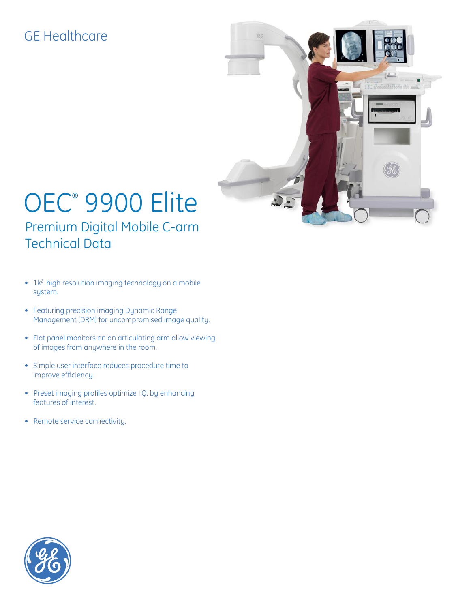## GE Healthcare



# OEC® 9900 Elite Premium Digital Mobile C-arm Technical Data

- 1k<sup>2</sup> high resolution imaging technology on a mobile system.
- Featuring precision imaging Dynamic Range Management (DRM) for uncompromised image quality.
- Flat panel monitors on an articulating arm allow viewing of images from anywhere in the room.
- Simple user interface reduces procedure time to improve efficiency.
- Preset imaging profiles optimize I.Q. by enhancing features of interest.
- Remote service connectivity.

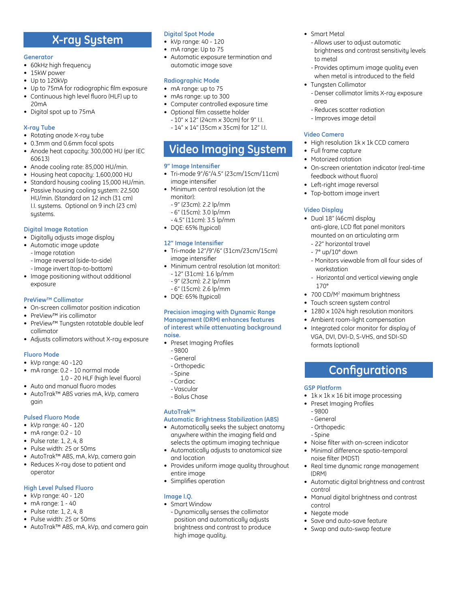### **X-ray System**

#### **Generator**

- 60kHz high frequency
- 15kW power
- Up to 120kVp
- Up to 75mA for radiographic film exposure • Continuous high level fluoro (HLF) up to
- 20mA
- Digital spot up to 75mA

### **X-ray Tube**

- Rotating anode X-ray tube
- 0.3mm and 0.6mm focal spots
- Anode heat capacity: 300,000 HU (per IEC 60613)
- Anode cooling rate: 85,000 HU/min.
- Housing heat capacity: 1,600,000 HU
- Standard housing cooling 15,000 HU/min.
- Passive housing cooling system: 22,500 HU/min. (Standard on 12 inch (31 cm) I.I. systems. Optional on 9 inch (23 cm) systems.

### **Digital Image Rotation**

- Digitally adjusts image display
- Automatic image update
	- -Image rotation
	- -Image reversal (side-to-side)
	- -Image invert (top-to-bottom)
- Image positioning without additional exposure

### **PreView™ Collimator**

- On-screen collimator position indication
- PreView™ iris collimator
- PreView™ Tungsten rotatable double leaf collimator
- Adjusts collimators without X-ray exposure

### **Fluoro Mode**

- kVp range: 40 -120
- mA range: 0.2 10 normal mode
- 1.0 20 HLF (high level fluoro)
- Auto and manual fluoro modes
- AutoTrak™ ABS varies mA, kVp, camera gain

### **Pulsed Fluoro Mode**

- kVp range: 40 120
- mA range: 0.2 10
- Pulse rate: 1, 2, 4, 8
- Pulse width: 25 or 50ms
- AutoTrak™ ABS, mA, kVp, camera gain • Reduces X-ray dose to patient and
- operator

### **High Level Pulsed Fluoro**

- kVp range: 40 120
- $\bullet$  mA range: 1 40
- Pulse rate: 1, 2, 4, 8
- Pulse width: 25 or 50ms
- AutoTrak™ ABS, mA, kVp, and camera gain

### **Digital Spot Mode**

- kVp range: 40 120
- mA range: Up to 75
- Automatic exposure termination and automatic image save

### **Radiographic Mode**

- mA range: up to 75
- mAs range: up to 300
- Computer controlled exposure time
- Optional film cassette holder - 10" x 12" (24cm x 30cm) for 9" I.I.
	- 14" x 14" (35cm x 35cm) for 12" I.I.

### **Video Imaging System**

### **9" Image Intensifier**

- Tri-mode 9"/6"/4.5" (23cm/15cm/11cm) image intensifier
- Minimum central resolution (at the monitor):
	- 9" (23cm): 2.2 lp/mm
	- 6" (15cm): 3.0 lp/mm
	- 4.5" (11cm): 3.5 lp/mm
- DQE: 65% (typical)

### **12" Image Intensifier**

- Tri-mode 12"/9"/6" (31cm/23cm/15cm) image intensifier
- Minimum central resolution (at monitor): - 12" (31cm): 1.6 lp/mm
	- 9" (23cm): 2.2 lp/mm
	- 6" (15cm): 2.6 lp/mm
- DQE: 65% (typical)

#### **Precision imaging with Dynamic Range Management (DRM) enhances features of interest while attenuating background noise.**

- Preset Imaging Profiles
	- 9800
	- General
	- Orthopedic
	- Spine
	- Cardiac
	- Vascular
	- Bolus Chase

### **AutoTrak™**

### **Automatic Brightness Stabilization (ABS)**

- Automatically seeks the subject anatomy anywhere within the imaging field and selects the optimum imaging technique
- Automatically adjusts to anatomical size and location
- Provides uniform image quality throughout entire image
- Simplifies operation

### **Image I.Q.**

• Smart Window - Dynamically senses the collimator position and automatically adjusts brightness and contrast to produce high image quality.

- Smart Metal
	- Allows user to adjust automatic brightness and contrast sensitivity levels to metal
	- Provides optimum image quality even when metal is introduced to the field
- Tungsten Collimator - Denser collimator limits X-ray exposure
	- area
	- Reduces scatter radiation
	- Improves image detail

### **Video Camera**

**Video Display**

- High resolution 1k x 1k CCD camera
- Full frame capture
- Motorized rotation

• Top-bottom image invert

• Dual 18" (46cm) display

 - 22" horizontal travel - 7° up/10° down

workstation

formats (optional)

• Preset Imaging Profiles

noise filter (MDST)

**GSP Platform**

 - 9800 - General - Orthopedic - Spine

(DRM)

control

control • Negate mode

170°

• On-screen orientation indicator (real-time feedback without fluoro) • Left-right image reversal

 anti-glare, LCD flat panel monitors mounted on an articulating arm

- Monitors viewable from all four sides of

- Horizontal and vertical viewing angle

**Configurations**

• 1k x 1k x 16 bit image processing

• Noise filter with on-screen indicator • Minimal difference spatio-temporal

• Real time dynamic range management

• Automatic digital brightness and contrast

• Manual digital brightness and contrast

• Save and auto-save feature • Swap and auto-swap feature

• 700 CD/M<sup>2</sup> maximum brightness • Touch screen system control • 1280 x 1024 high resolution monitors • Ambient room-light compensation • Integrated color monitor for display of VGA, DVI, DVI-D, S-VHS, and SDI-SD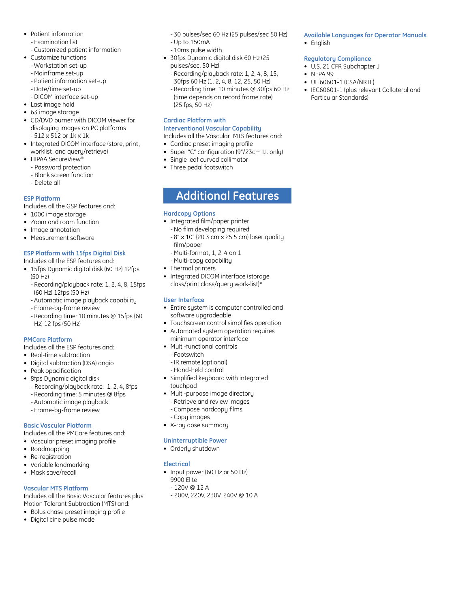- Patient information
	- Examination list
- Customized patient information
- Customize functions
	- Workstation set-up
	- Mainframe set-up
	- Patient information set-up
	- Date/time set-up
	- DICOM interface set-up
- Last image hold
- 63 image storage
- CD/DVD burner with DICOM viewer for displaying images on PC platforms - 512 x 512 or 1k x 1k
- Integrated DICOM interface (store, print, worklist, and query/retrieve)
- HIPAA SecureView®
	- Password protection
	- Blank screen function
	- Delete all

### **ESP Platform**

Includes all the GSP features and:

- 1000 image storage
- Zoom and roam function
- Image annotation
- Measurement software

### **ESP Platform with 15fps Digital Disk**

### Includes all the ESP features and:

- 15fps Dynamic digital disk (60 Hz) 12fps (50 Hz)
	- Recording/playback rate: 1, 2, 4, 8, 15fps (60 Hz) 12fps (50 Hz)
	- Automatic image playback capability
	- Frame-by-frame review
	- Recording time: 10 minutes @ 15fps (60 Hz) 12 fps (50 Hz)

#### **PMCare Platform**

Includes all the ESP features and:

- Real-time subtraction
- Digital subtraction (DSA) angio
- Peak opacification
- 8fps Dynamic digital disk
	- Recording/playback rate: 1, 2, 4, 8fps
	- Recording time: 5 minutes @ 8fps
	- Automatic image playback
	- Frame-by-frame review

#### **Basic Vascular Platform**

Includes all the PMCare features and:

- Vascular preset imaging profile
- Roadmapping
- Re-registration
- Variable landmarking
- Mask save/recall

#### **Vascular MTS Platform**

Includes all the Basic Vascular features plus Motion Tolerant Subtraction (MTS) and:

- Bolus chase preset imaging profile
- Digital cine pulse mode
- 30 pulses/sec 60 Hz (25 pulses/sec 50 Hz)
- Up to 150mA
- 10ms pulse width
- 30fps Dynamic digital disk 60 Hz (25 pulses/sec, 50 Hz)
- Recording/playback rate: 1, 2, 4, 8, 15, 30fps 60 Hz (1, 2, 4, 8, 12, 25, 50 Hz)
- Recording time: 10 minutes @ 30fps 60 Hz (time depends on record frame rate) (25 fps, 50 Hz)

### **Cardiac Platform with**

**Interventional Vascular Capability**

- Includes all the Vascular MTS features and:
- Cardiac preset imaging profile
- Super "C" configuration (9"/23cm I.I. only)
- Single leaf curved collimator
- Three pedal footswitch

### **Additional Features**

#### **Hardcopy Options**

- Integrated film/paper printer
	- No film developing required
	- 8" x 10" (20.3 cm x 25.5 cm) laser quality film/paper
	- Multi-format, 1, 2, 4 on 1
	- Multi-copy capability
- Thermal printers
- Integrated DICOM interface (storage class/print class/query work-list)\*

### **User Interface**

- Entire system is computer controlled and software upgradeable
- Touchscreen control simplifies operation
- Automated system operation requires minimum operator interface
- Multi-functional controls
- Footswitch
- -IR remote (optional)
- Hand-held control
- Simplified keyboard with integrated touchpad
- Multi-purpose image directory - Retrieve and review images
	- Compose hardcopy films
	- Copy images
- X-ray dose summary

#### **Uninterruptible Power**

• Orderly shutdown

#### **Electrical**

- Input power (60 Hz or 50 Hz)
	- 9900 Elite
	- 120V @ 12 A
	- 200V, 220V, 230V, 240V @ 10 A

#### **Available Languages for Operator Manuals**

• English

#### **Regulatory Compliance**

- U.S. 21 CFR Subchapter J
- NFPA 99
- UL 60601-1 (CSA/NRTL)
- IEC60601-1 (plus relevant Collateral and Particular Standards)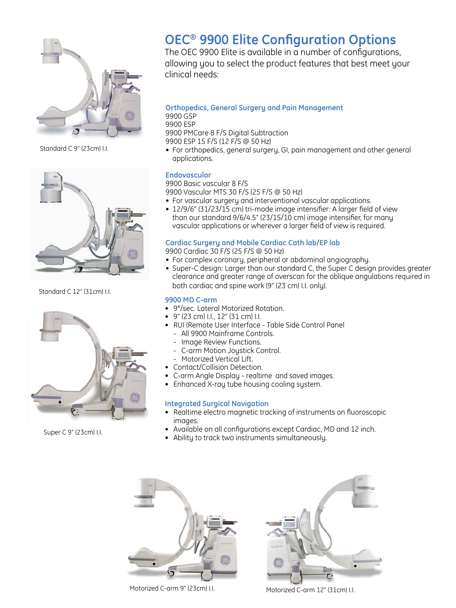

Standard C 9" (23cm) I.I.



Standard C 12" (31cm) I.I.



Super C 9" (23cm) I.I.

# **Premium Performance OEC® 9900 Elite Configuration Options**

The OEC 9900 Elite is available in a number of configurations. allowing you to select the product features that best meet your clinical needs:

### **Orthopedics, General Surgery and Pain Management**

9900 GSP

9900 ESP

9900 PMCare 8 F/S Digital Subtraction

- 9900 ESP 15 F/S (12 F/S @ 50 Hz)
- For orthopedics, general surgery, GI, pain management and other general applications.

### **Endovascular**

9900 Basic vascular 8 F/S 9900 Vascular MTS 30 F/S (25 F/S @ 50 Hz)

- For vascular surgery and interventional vascular applications.
- 12/9/6" (31/23/15 cm) tri-mode image intensifier: A larger field of view than our standard 9/6/4.5" (23/15/10 cm) image intensifier, for many vascular applications or wherever a larger field of view is required.

### **Cardiac Surgery and Mobile Cardiac Cath lab/EP lab**

9900 Cardiac 30 F/S (25 F/S @ 50 Hz)

- For complex coronary, peripheral or abdominal angiography.
- Super-C design: Larger than our standard C, the Super C design provides greater clearance and greater range of overscan for the oblique angulations required in both cardiac and spine work (9" (23 cm) I.I. only).

### **9900 MD C-arm**

- 9°/sec. Lateral Motorized Rotation.
- 9" (23 cm) I.I., 12" (31 cm) I.I.
- RUI (Remote User Interface Table Side Control Panel
	- All 9900 Mainframe Controls.
	- Image Review Functions.
	- C-arm Motion Joystick Control.
	- Motorized Vertical Lift.
- Contact/Collision Detection.
- C-arm Angle Display realtime and saved images.
- Enhanced X-ray tube housing cooling system.

### **Integrated Surgical Navigation**

- Realtime electro magnetic tracking of instruments on fluoroscopic images.
- Available on all configurations except Cardiac, MD and 12 inch.
- Ability to track two instruments simultaneously.



Motorized C-arm 9" (23cm) I.I.



Motorized C-arm 12" (31cm) I.I.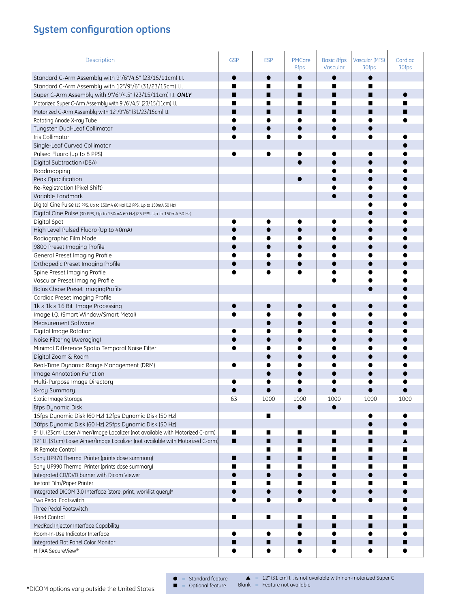### **System configuration options**

| Description                                                                      | <b>GSP</b> | <b>ESP</b> | PMCare<br>8fps | <b>Basic 8fps</b><br>Vascular | <b>Vascular (MTS)</b><br>30fps | Cardiac<br>30fps |
|----------------------------------------------------------------------------------|------------|------------|----------------|-------------------------------|--------------------------------|------------------|
| Standard C-Arm Assembly with 9"/6"/4.5" (23/15/11cm) I.I.                        |            |            |                |                               |                                |                  |
| Standard C-Arm Assembly with 12"/9"/6" (31/23/15cm) I.I.                         |            |            | ■              |                               |                                |                  |
| Super C-Arm Assembly with 9"/6"/4.5" (23/15/11cm) I.I. ONLY                      |            | ш          | ■              |                               |                                |                  |
| Motorized Super C-Arm Assembly with 9"/6"/4.5" (23/15/11cm) I.I.                 |            |            | ■              |                               |                                |                  |
| Motorized C-Arm Assembly with 12"/9"/6" (31/23/15cm) I.I.                        |            | ■          | ■              |                               |                                |                  |
| Rotating Anode X-ray Tube                                                        |            |            |                |                               |                                |                  |
| Tungsten Dual-Leaf Collimator                                                    |            |            |                |                               |                                |                  |
| Iris Collimator                                                                  |            |            |                |                               |                                |                  |
| Single-Leaf Curved Collimator                                                    |            |            |                |                               |                                |                  |
| Pulsed Fluoro (up to 8 PPS)                                                      |            |            |                |                               |                                |                  |
| Digital Subtraction (DSA)                                                        |            |            |                |                               |                                |                  |
| Roadmapping                                                                      |            |            |                |                               |                                |                  |
| Peak Opacification                                                               |            |            |                |                               |                                |                  |
| Re-Registration (Pixel Shift)                                                    |            |            |                |                               |                                |                  |
| Variable Landmark                                                                |            |            |                |                               |                                |                  |
| Digital Cine Pulse (15 PPS, Up to 150mA 60 Hz) (12 PPS, Up to 150mA 50 Hz)       |            |            |                |                               |                                |                  |
| Digital Cine Pulse (30 PPS, Up to 150mA 60 Hz) (25 PPS, Up to 150mA 50 Hz)       |            |            |                |                               |                                |                  |
| Digital Spot                                                                     |            |            |                |                               |                                |                  |
| High Level Pulsed Fluoro (Up to 40mA)                                            |            |            |                |                               |                                |                  |
| Radiographic Film Mode                                                           |            |            |                |                               |                                |                  |
| 9800 Preset Imaging Profile                                                      |            |            |                |                               |                                |                  |
| General Preset Imaging Profile                                                   |            |            |                |                               |                                |                  |
| Orthopedic Preset Imaging Profile                                                |            |            |                |                               |                                |                  |
| Spine Preset Imaging Profile                                                     |            |            |                |                               |                                |                  |
| Vascular Preset Imaging Profile                                                  |            |            |                |                               |                                |                  |
| Bolus Chase Preset Imaging Profile                                               |            |            |                |                               |                                |                  |
| Cardiac Preset Imaging Profile                                                   |            |            |                |                               |                                |                  |
| 1k x 1k x 16 Bit Image Processing                                                |            |            |                |                               |                                |                  |
| Image I.Q. (Smart Window/Smart Metal)                                            |            |            |                |                               |                                |                  |
| Measurement Software                                                             |            |            |                |                               |                                |                  |
| Digital Image Rotation                                                           |            |            |                |                               |                                |                  |
| Noise Filtering (Averaging)                                                      |            |            |                |                               |                                |                  |
| Minimal Difference Spatio Temporal Noise Filter                                  |            |            |                |                               |                                |                  |
| Digital Zoom & Roam                                                              |            |            |                |                               |                                |                  |
| Real-Time Dynamic Range Management (DRM)                                         |            |            |                |                               |                                |                  |
| Image Annotation Function                                                        |            |            |                |                               |                                |                  |
| Multi-Purpose Image Directory                                                    |            |            |                |                               |                                |                  |
| X-ray Summary                                                                    |            |            |                |                               |                                |                  |
| Static Image Storage                                                             | 63         | 1000       | 1000           | 1000                          | 1000                           | 1000             |
| 8fps Dynamic Disk                                                                |            |            |                |                               |                                |                  |
| 15fps Dynamic Disk (60 Hz) 12fps Dynamic Disk (50 Hz)                            |            | ∎          |                |                               |                                |                  |
| 30fps Dynamic Disk (60 Hz) 25fps Dynamic Disk (50 Hz)                            |            |            |                |                               |                                |                  |
| 9" I.I. (23cm) Laser Aimer/Image Localizer (not available with Motorized C-arm)  | П          | ∎          | ■              | ■                             |                                |                  |
| 12" I.I. (31cm) Laser Aimer/Image Localizer (not available with Motorized C-arm) | п          | ■          | ■              |                               | ■                              |                  |
| IR Remote Control                                                                |            |            | ш              |                               |                                |                  |
| Sony UP970 Thermal Printer (prints dose summary)                                 | н          | ■          | ■              |                               |                                |                  |
| Sony UP990 Thermal Printer (prints dose summary)                                 |            | ■          | ■              |                               |                                |                  |
| Integrated CD/DVD burner with Dicom Viewer                                       |            |            |                |                               |                                |                  |
| Instant Film/Paper Printer                                                       |            |            |                |                               |                                |                  |
| Integrated DICOM 3.0 Interface (store, print, worklist query)*                   |            |            |                |                               |                                |                  |
| Two Pedal Footswitch                                                             |            |            |                |                               |                                |                  |
| Three Pedal Footswitch                                                           |            |            |                |                               |                                |                  |
| Hand Control                                                                     | ш          | п          | ∎              |                               | ш                              |                  |
| MedRad Injector Interface Capability                                             |            |            | П              |                               |                                |                  |
| Room-In-Use Indicator Interface                                                  |            |            |                |                               |                                |                  |
| Integrated Flat Panel Color Monitor                                              |            |            | ■              |                               | ■                              |                  |
| HIPAA SecureView®                                                                |            |            |                |                               |                                |                  |

 $\bullet$  = Standard feature

■ = Optional feature

 $\triangle$  = 12" (31 cm) I.I. is not available with non-motorized Super C  $Blank = Feature not available$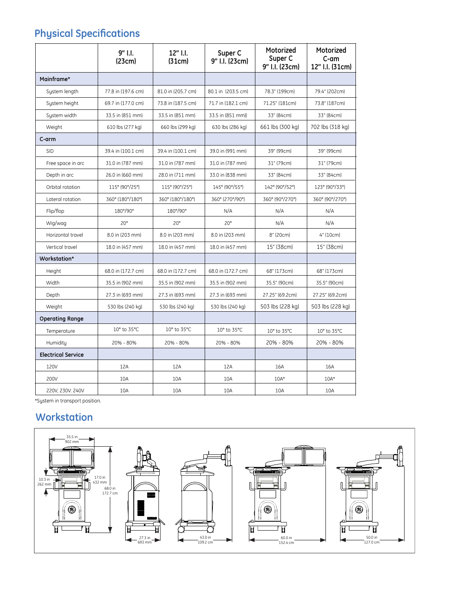## **Physical Specifications**

|                           | 9" I.I.<br>(23cm)  | 12" I.I.<br>(31cm) | Super C<br>9" I.I. (23cm) | Motorized<br>Super C<br>9" I.I. (23cm) | Motorized<br>C-am<br>12" I.I. (31cm) |
|---------------------------|--------------------|--------------------|---------------------------|----------------------------------------|--------------------------------------|
| Mainframe*                |                    |                    |                           |                                        |                                      |
| System length             | 77.8 in (197.6 cm) | 81.0 in (205.7 cm) | 80.1 in (203.5 cm)        | 78.3" (199cm)                          | 79.4" (202cm)                        |
| System height             | 69.7 in (177.0 cm) | 73.8 in (187.5 cm) | 71.7 in (182.1 cm)        | 71.25" (181cm)                         | 73.8" (187cm)                        |
| System width              | 33.5 in (851 mm)   | 33.5 in (851 mm)   | 33.5 in (851 mm)          | 33" (84cm)                             | 33" (84cm)                           |
| Weight                    | 610 lbs (277 kg)   | 660 lbs (299 kg)   | 630 lbs (286 kg)          | 661 lbs (300 kg)                       | 702 lbs (318 kg)                     |
| C-arm                     |                    |                    |                           |                                        |                                      |
| <b>SID</b>                | 39.4 in (100.1 cm) | 39.4 in (100.1 cm) | 39.0 in (991 mm)          | 39" (99cm)                             | 39" (99cm)                           |
| Free space in arc         | 31.0 in (787 mm)   | 31.0 in (787 mm)   | 31.0 in (787 mm)          | 31" (79cm)                             | 31" (79cm)                           |
| Depth in arc              | 26.0 in (660 mm)   | 28.0 in (711 mm)   | 33.0 in (838 mm)          | 33" (84cm)                             | 33" (84cm)                           |
| Orbital rotation          | 115° (90°/25°)     | 115° (90°/25°)     | 145° (90°/55°)            | 142° (90°/52°)                         | 123° (90°/33°)                       |
| Lateral rotation          | 360° (180°/180°)   | 360° (180°/180°)   | 360° (270°/90°)           | 360° (90°/270°)                        | 360° (90°/270°)                      |
| Flip/flop                 | 180°/90°           | 180°/90°           | N/A                       | N/A                                    | N/A                                  |
| Wig/wag                   | $20^{\circ}$       | $20^{\circ}$       | $20^{\circ}$              | N/A                                    | N/A                                  |
| Horizontal travel         | 8.0 in (203 mm)    | 8.0 in (203 mm)    | 8.0 in (203 mm)           | 8" (20cm)                              | 4" (10cm)                            |
| Vertical travel           | 18.0 in (457 mm)   | 18.0 in (457 mm)   | 18.0 in (457 mm)          | 15" (38cm)                             | 15" (38cm)                           |
| Workstation*              |                    |                    |                           |                                        |                                      |
| Height                    | 68.0 in (172.7 cm) | 68.0 in (172.7 cm) | 68.0 in (172.7 cm)        | 68" (173cm)                            | 68" (173cm)                          |
| Width                     | 35.5 in (902 mm)   | 35.5 in (902 mm)   | 35.5 in (902 mm)          | 35.5" (90cm)                           | 35.5" (90cm)                         |
| Depth                     | 27.3 in (693 mm)   | 27.3 in (693 mm)   | 27.3 in (693 mm)          | 27.25" (69.2cm)                        | 27.25" (69.2cm)                      |
| Weight                    | 530 lbs (240 kg)   | 530 lbs (240 kg)   | 530 lbs (240 kg)          | 503 lbs (228 kg)                       | 503 lbs (228 kg)                     |
| <b>Operating Range</b>    |                    |                    |                           |                                        |                                      |
| Temperature               | 10° to 35°C        | 10° to 35°C        | 10° to 35°C               | 10° to 35°C                            | 10° to 35°C                          |
| Humiditu                  | 20% - 80%          | 20% - 80%          | 20% - 80%                 | 20% - 80%                              | 20% - 80%                            |
| <b>Electrical Service</b> |                    |                    |                           |                                        |                                      |
| 120V                      | 12A                | 12A                | 12A                       | 16A                                    | 16A                                  |
| 200V                      | 10A                | 10A                | 10A                       | $10A*$                                 | $10A*$                               |
| 220V, 230V. 240V          | 10A                | 10A                | 10A                       | 10A                                    | 10A                                  |

\*System in transport position.

### **Workstation**

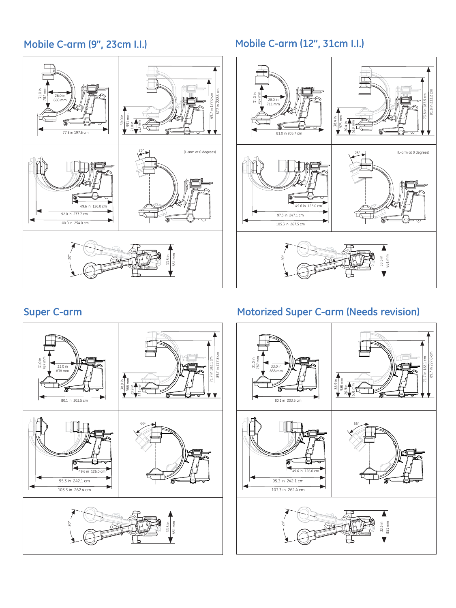### **Mobile C-arm (9", 23cm I.I.)**



### **Mobile C-arm (12", 31cm I.I.)**





### **Super C-arm Motorized Super C-arm (Needs revision)**